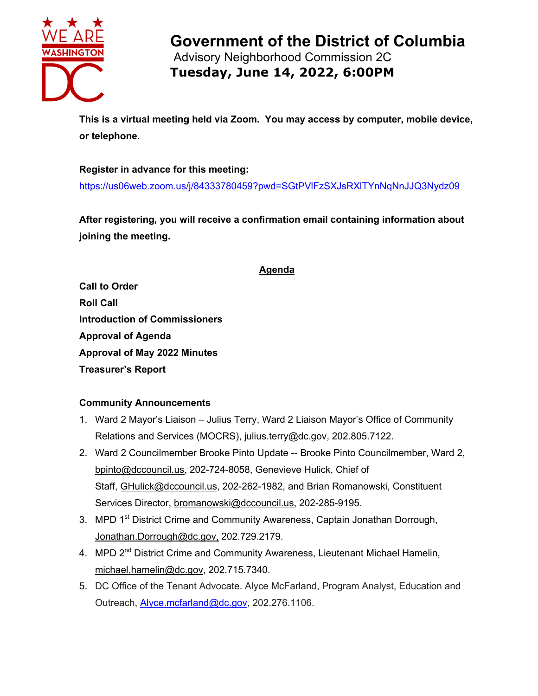

# **Government of the District of Columbia** Advisory Neighborhood Commission 2C **Tuesday, June 14, 2022, 6:00PM**

**This is a virtual meeting held via Zoom. You may access by computer, mobile device, or telephone.** 

## **Register in advance for this meeting:**

https://us06web.zoom.us/j/84333780459?pwd=SGtPVlFzSXJsRXlTYnNqNnJJQ3Nydz09

**After registering, you will receive a confirmation email containing information about joining the meeting.**

## **Agenda**

**Call to Order Roll Call Introduction of Commissioners Approval of Agenda Approval of May 2022 Minutes Treasurer's Report** 

## **Community Announcements**

- 1. Ward 2 Mayor's Liaison Julius Terry, Ward 2 Liaison Mayor's Office of Community Relations and Services (MOCRS), julius.terry@dc.gov, 202.805.7122.
- 2. Ward 2 Councilmember Brooke Pinto Update -- Brooke Pinto Councilmember, Ward 2, bpinto@dccouncil.us, 202-724-8058, Genevieve Hulick, Chief of Staff, GHulick@dccouncil.us, 202-262-1982, and Brian Romanowski, Constituent Services Director, bromanowski@dccouncil.us, 202-285-9195.
- 3. MPD 1<sup>st</sup> District Crime and Community Awareness, Captain Jonathan Dorrough, Jonathan.Dorrough@dc.gov, 202.729.2179.
- 4. MPD 2<sup>nd</sup> District Crime and Community Awareness, Lieutenant Michael Hamelin, michael.hamelin@dc.gov, 202.715.7340.
- 5. DC Office of the Tenant Advocate. Alyce McFarland, Program Analyst, Education and Outreach, Alyce.mcfarland@dc.gov, 202.276.1106.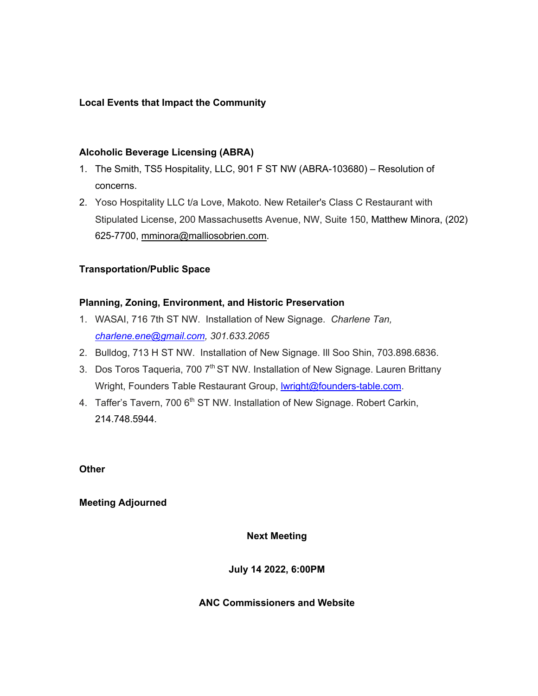#### **Local Events that Impact the Community**

#### **Alcoholic Beverage Licensing (ABRA)**

- 1. The Smith, TS5 Hospitality, LLC, 901 F ST NW (ABRA-103680) Resolution of concerns.
- 2. Yoso Hospitality LLC t/a Love, Makoto. New Retailer's Class C Restaurant with Stipulated License, 200 Massachusetts Avenue, NW, Suite 150, Matthew Minora, (202) 625-7700, mminora@malliosobrien.com.

#### **Transportation/Public Space**

#### **Planning, Zoning, Environment, and Historic Preservation**

- 1. WASAI, 716 7th ST NW. Installation of New Signage. *Charlene Tan, charlene.ene@gmail.com, 301.633.2065*
- 2. Bulldog, 713 H ST NW. Installation of New Signage. Ill Soo Shin, 703.898.6836.
- 3. Dos Toros Taqueria, 700 7<sup>th</sup> ST NW. Installation of New Signage. Lauren Brittany Wright, Founders Table Restaurant Group, **Iwright@founders-table.com.**
- 4. Taffer's Tavern, 700 6<sup>th</sup> ST NW. Installation of New Signage. Robert Carkin, 214.748.5944.

**Other**

#### **Meeting Adjourned**

**Next Meeting**

**July 14 2022, 6:00PM**

**ANC Commissioners and Website**